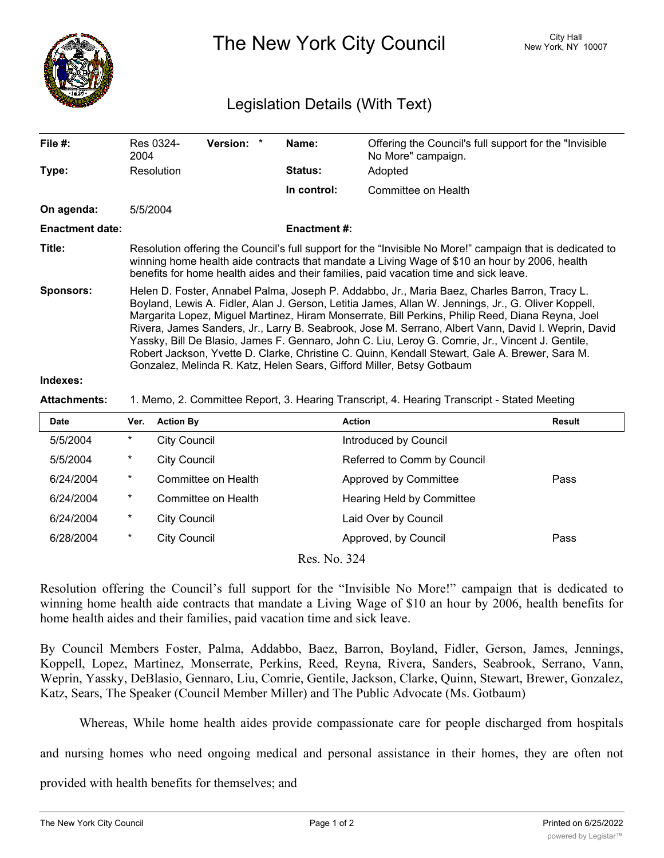

The New York City Council New York, NY 10007

## Legislation Details (With Text)

| File $#$ :             | Res 0324-<br>2004                                                                                                                                                                                                                                                                                                                                                                                                                                                                                                                                                                                                                                                                             | <b>Version:</b><br>$\ast$ | Name:               | Offering the Council's full support for the "Invisible"<br>No More" campaign. |  |  |
|------------------------|-----------------------------------------------------------------------------------------------------------------------------------------------------------------------------------------------------------------------------------------------------------------------------------------------------------------------------------------------------------------------------------------------------------------------------------------------------------------------------------------------------------------------------------------------------------------------------------------------------------------------------------------------------------------------------------------------|---------------------------|---------------------|-------------------------------------------------------------------------------|--|--|
| Type:                  | Resolution                                                                                                                                                                                                                                                                                                                                                                                                                                                                                                                                                                                                                                                                                    |                           | <b>Status:</b>      | Adopted                                                                       |  |  |
|                        |                                                                                                                                                                                                                                                                                                                                                                                                                                                                                                                                                                                                                                                                                               |                           | In control:         | Committee on Health                                                           |  |  |
| On agenda:             | 5/5/2004                                                                                                                                                                                                                                                                                                                                                                                                                                                                                                                                                                                                                                                                                      |                           |                     |                                                                               |  |  |
| <b>Enactment date:</b> |                                                                                                                                                                                                                                                                                                                                                                                                                                                                                                                                                                                                                                                                                               |                           | <b>Enactment #:</b> |                                                                               |  |  |
| Title:                 | Resolution offering the Council's full support for the "Invisible No More!" campaign that is dedicated to<br>winning home health aide contracts that mandate a Living Wage of \$10 an hour by 2006, health<br>benefits for home health aides and their families, paid vacation time and sick leave.                                                                                                                                                                                                                                                                                                                                                                                           |                           |                     |                                                                               |  |  |
| <b>Sponsors:</b>       | Helen D. Foster, Annabel Palma, Joseph P. Addabbo, Jr., Maria Baez, Charles Barron, Tracy L.<br>Boyland, Lewis A. Fidler, Alan J. Gerson, Letitia James, Allan W. Jennings, Jr., G. Oliver Koppell,<br>Margarita Lopez, Miguel Martinez, Hiram Monserrate, Bill Perkins, Philip Reed, Diana Reyna, Joel<br>Rivera, James Sanders, Jr., Larry B. Seabrook, Jose M. Serrano, Albert Vann, David I. Weprin, David<br>Yassky, Bill De Blasio, James F. Gennaro, John C. Liu, Leroy G. Comrie, Jr., Vincent J. Gentile,<br>Robert Jackson, Yvette D. Clarke, Christine C. Quinn, Kendall Stewart, Gale A. Brewer, Sara M.<br>Gonzalez, Melinda R. Katz, Helen Sears, Gifford Miller, Betsy Gotbaum |                           |                     |                                                                               |  |  |
| Indexes:               |                                                                                                                                                                                                                                                                                                                                                                                                                                                                                                                                                                                                                                                                                               |                           |                     |                                                                               |  |  |
| <b>Attachments:</b>    | 1. Memo, 2. Committee Report, 3. Hearing Transcript, 4. Hearing Transcript - Stated Meeting                                                                                                                                                                                                                                                                                                                                                                                                                                                                                                                                                                                                   |                           |                     |                                                                               |  |  |

| <b>Date</b>  | Ver.    | <b>Action By</b>    | <b>Action</b>               | <b>Result</b> |  |  |  |  |
|--------------|---------|---------------------|-----------------------------|---------------|--|--|--|--|
| 5/5/2004     | $\ast$  | City Council        | Introduced by Council       |               |  |  |  |  |
| 5/5/2004     | $\ast$  | <b>City Council</b> | Referred to Comm by Council |               |  |  |  |  |
| 6/24/2004    | $\star$ | Committee on Health | Approved by Committee       | Pass          |  |  |  |  |
| 6/24/2004    | $\ast$  | Committee on Health | Hearing Held by Committee   |               |  |  |  |  |
| 6/24/2004    | $\star$ | <b>City Council</b> | Laid Over by Council        |               |  |  |  |  |
| 6/28/2004    | $\ast$  | <b>City Council</b> | Approved, by Council        | Pass          |  |  |  |  |
| Res. No. 324 |         |                     |                             |               |  |  |  |  |

Resolution offering the Council's full support for the "Invisible No More!" campaign that is dedicated to winning home health aide contracts that mandate a Living Wage of \$10 an hour by 2006, health benefits for home health aides and their families, paid vacation time and sick leave.

By Council Members Foster, Palma, Addabbo, Baez, Barron, Boyland, Fidler, Gerson, James, Jennings, Koppell, Lopez, Martinez, Monserrate, Perkins, Reed, Reyna, Rivera, Sanders, Seabrook, Serrano, Vann, Weprin, Yassky, DeBlasio, Gennaro, Liu, Comrie, Gentile, Jackson, Clarke, Quinn, Stewart, Brewer, Gonzalez, Katz, Sears, The Speaker (Council Member Miller) and The Public Advocate (Ms. Gotbaum)

Whereas, While home health aides provide compassionate care for people discharged from hospitals

and nursing homes who need ongoing medical and personal assistance in their homes, they are often not

provided with health benefits for themselves; and